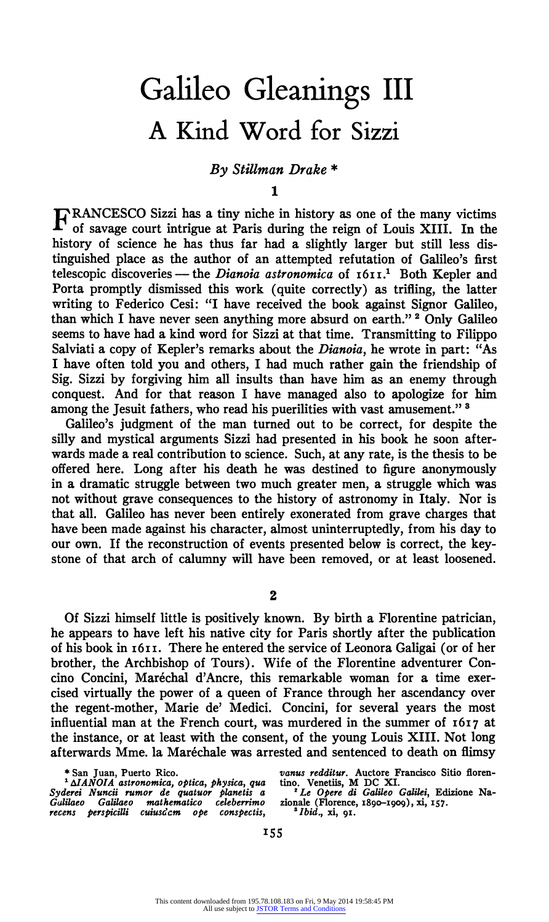## **Galileo Gleanings III <sup>A</sup>Kind Word for Sizzi**

## **By Stillman Drake \***

**I** 

**FRANCESCO Sizzi has a tiny niche in history as one of the many victims** of savage court intriguo at Partie Inc. **of savage court intrigue at Paris during the reign of Louis XIII. In the history of science he has thus far had a slightly larger but still less distinguished place as the author of an attempted refutation of Galileo's first telescopic discoveries - the Dianoia astronomica of i 6i i.1 Both Kepler and Porta promptly dismissed this work (quite correctly) as trifling, the latter writing to Federico Cesi: "I have received the book against Signor Galileo, than which I have never seen anything more absurd on earth." 2 Only Galileo seems to have had a kind word for Sizzi at that time. Transmitting to Filippo Salviati a copy of Kepler's remarks about the Dianoia, he wrote in part: "As I have often told you and others, I had much rather gain the friendship of Sig. Sizzi by forgiving him all insults than have him as an enemy through conquest. And for that reason I have managed also to apologize for him among the Jesuit fathers, who read his puerilities with vast amusement." <sup>3</sup>**

**Galileo's judgment of the man turned out to be correct, for despite the silly and mystical arguments Sizzi had presented in his book he soon afterwards made a real contribution to science. Such, at any rate, is the thesis to be offered here. Long after his death he was destined to figure anonymously in a dramatic struggle between two much greater men, a struggle which was not without grave consequences to the history of astronomy in Italy. Nor is that all. Galileo has never been entirely exonerated from grave charges that have been made against his character, almost uninterruptedly, from his day to our own. If the reconstruction of events presented below is correct, the keystone of that arch of calumny will have been removed, or at least loosened.** 

**2** 

**Of Sizzi himself little is positively known. By birth a Florentine patrician, he appears to have left his native city for Paris shortly after the publication of his book in I6II. There he entered the service of Leonora Galigai (or of her brother, the Archbishop of Tours). Wife of the Florentine adventurer Concino Concini, Marechal d'Ancre, this remarkable woman for a time exercised virtually the power of a queen of France through her ascendancy over the regent-mother, Marie de' Medici. Concini, for several years the most influential man at the French court, was murdered in the summer of**  $1617$  **at the instance, or at least with the consent, of the young Louis XIII. Not long afterwards Mme. la Marechale was arrested and sentenced to death on flimsy** 

**\* San Juan, Puerto Rico.** 

**15IANOIA astronomica, optica, physica, qua Syderei Nuncii rumor de quatuor planetis a Galilaeo Galilaeo mathematico celeberrimo recens perspicilli cuiusdcm ope conspectis,** 

**vanus redditur. Auctore Francisco Sitio florentino. Venetiis, M DC XI. 2Le Opere di Galileo Galilei, Edizione Na-**

**zionale (Florence, I890-i909), xi, I57. 3Ibid., xi, 91.**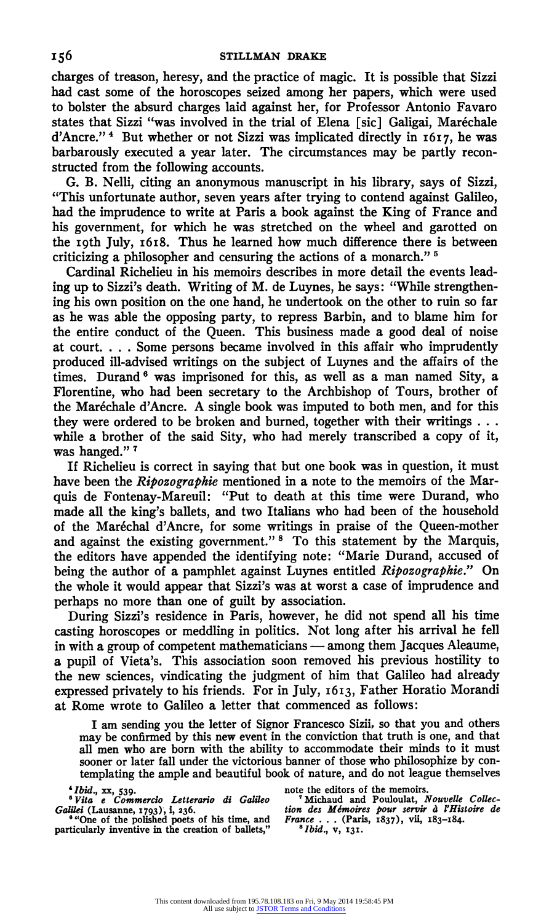**charges of treason, heresy, and the practice of magic. It is possible that Sizzi had cast some of the horoscopes seized among her papers, which were used to bolster the absurd charges laid against her, for Professor Antonio Favaro states that Sizzi "was involved in the trial of Elena [sic] Galigai, Marechale d'Ancre." 4 But whether or not Sizzi was implicated directly in i6I7, he was barbarously executed a year later. The circumstances may be partly reconstructed from the following accounts.** 

**G. B. Nelli, citing an anonymous manuscript in his library, says of Sizzi, "This unfortunate author, seven years after trying to contend against Galileo, had the imprudence to write at Paris a book against the King of France and his government, for which he was stretched on the wheel and garotted on the Igth July, i6i8. Thus he learned how much difference there is between**  criticizing a philosopher and censuring the actions of a monarch."<sup>5</sup>

**Cardinal Richelieu in his memoirs describes in more detail the events leading up to Sizzi's death. Writing of M. de Luynes, he says: "While strengthening his own position on the one hand, he undertook on the other to ruin so far as he was able the opposing party, to repress Barbin, and to blame him for the entire conduct of the Queen. This business made a good deal of noise at court. . . . Some persons became involved in this affair who imprudently produced ill-advised writings on the subject of Luynes and the affairs of the times. Durand 6 was imprisoned for this, as well as a man named Sity, a Florentine, who had been secretary to the Archbishop of Tours, brother of the Marechale d'Ancre. A single book was imputed to both men, and for this they were ordered to be broken and burned, together with their writings ... while a brother of the said Sity, who had merely transcribed a copy of it, was hanged." '7** 

**If Richelieu is correct in saying that but one book was in question, it must have been the Ripozographie mentioned in a note to the memoirs of the Marquis de Fontenay-Mareuil: "Put to death at this time were Durand, who made all the king's ballets, and two Italians who had been of the household of the Marechal d'Ancre, for some writings in praise of the Queen-mother and against the existing government." 8 To this statement by the Marquis, the editors have appended the identifying note: "Marie Durand, accused of being the author of a pamphlet against Luynes entitled Ripozographie." On the whole it would appear that Sizzi's was at worst a case of imprudence and perhaps no more than one of guilt by association.** 

**During Sizzi's residence in Paris, however, he did not spend all his time casting horoscopes or meddling in politics. Not long after his arrival he fell in with a group of competent mathematicians - among them Jacques Aleaume, a pupil of Vieta's. This association soon removed his previous hostility to the new sciences, vindicating the judgment of him that Galileo had already expressed privately to his friends. For in July, I6I3, Father Horatio Morandi at Rome wrote to Galileo a letter that commenced as follows:** 

**I am sending you the letter of Signor Francesco Sizii, so that you and others may be confirmed by this new event in the conviction that truth is one, and that all men who are born with the ability to accommodate their minds to it must sooner or later fall under the victorious banner of those who philosophize by contemplating the ample and beautiful book of nature, and do not league themselves** 

**'Ibid., xx, 539. 'Vita e Commercio Letterario di Galileo** 

Galilei (Lausanne, 1793), i, 236.<br><sup>8</sup> "One of the polished poets of his time, and **particularly inventive in the creation of ballets,"** 

**note the editors of the memoirs.** 

**7Michaud and Pouloulat, Nouvelle Collec-tion des Memoires pour servir a PHistoire de France . . .(Paris, I837), Vii, I83-I84. 'Ibid., v, I3I.**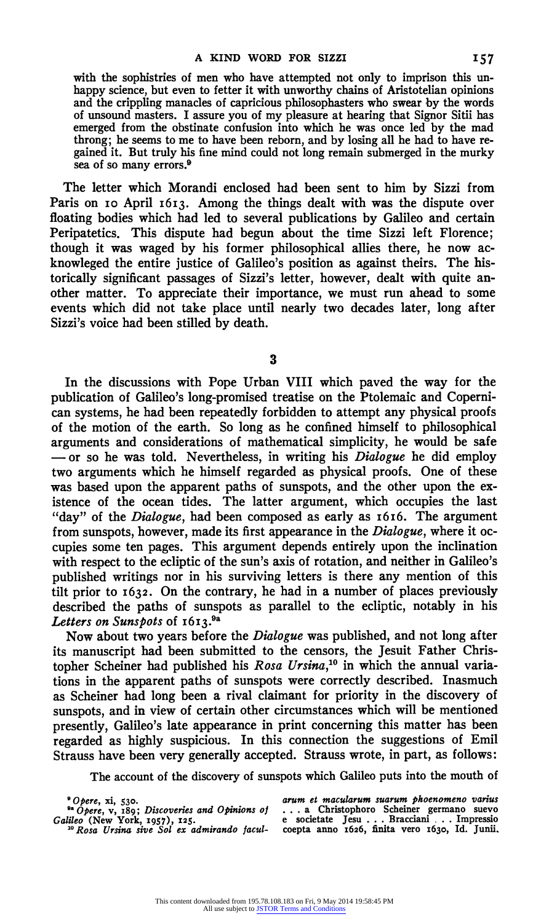**with the sophistries of men who have attempted not only to imprison this unhappy science, but even to fetter it with unworthy chains of Aristotelian opinions and the crippling manacles of capricious philosophasters who swear by the words of unsound masters. I assure you of my pleasure at hearing that Signor Sitii has emerged from the obstinate confusion into which he was once led by the mad throng; he seems to me to have been reborn, and by losing all he had to have regained it. But truly his fine mind could not long remain submerged in the murky sea of so many errors.9** 

**The letter which Morandi enclosed had been sent to him by Sizzi from Paris on io April I613. Among the things dealt with was the dispute over floating bodies which had led to several publications by Galileo and certain Peripatetics. This dispute had begun about the time Sizzi left Florence; though it was waged by his former philosophical allies there, he now acknowleged the entire justice of Galileo's position as against theirs. The historically significant passages of Sizzi's letter, however, dealt with quite another matter. To appreciate their importance, we must run ahead to some events which did not take place until nearly two decades later, long after Sizzi's voice had been stilled by death.** 

**3** 

**In the discussions with Pope Urban VIII which paved the way for the publication of Galileo's long-promised treatise on the Ptolemaic and Copernican systems, he had been repeatedly forbidden to attempt any physical proofs of the motion of the earth. So long as he confined himself to philosophical arguments and considerations of mathematical simplicity, he would be safe -or so he was told. Nevertheless, in writing his Dialogue he did employ two arguments which he himself regarded as physical proofs. One of these was based upon the apparent paths of sunspots, and the other upon the existence of the ocean tides. The latter argument, which occupies the last "day" of the Dialogue, had been composed as early as I6I6. The argument from sunspots, however, made its first appearance in the Dialogue, where it occupies some ten pages. This argument depends entirely upon the inclination with respect to the ecliptic of the sun's axis of rotation, and neither in Galileo's published writings nor in his surviving letters is there any mention of this tilt prior to I632. On the contrary, he had in a number of places previously described the paths of sunspots as parallel to the ecliptic, notably in his**  Letters on Sunspots of 1613.<sup>9a</sup>

**Now about two years before the Dialogue was published, and not long after its manuscript had been submitted to the censors, the Jesuit Father Christopher Scheiner had published his Rosa Ursina,'0 in which the annual variations in the apparent paths of sunspots were correctly described. Inasmuch as Scheiner had long been a rival claimant for priority in the discovery of sunspots, and in view of certain other circumstances which will be mentioned presently, Galileo's late appearance in print concerning this matter has been regarded as highly suspicious. In this connection the suggestions of Emil Strauss have been very generally accepted. Strauss wrote, in part, as follows:** 

**The account of the discovery of sunspots which Galileo puts into the mouth of** 

**9Opere, xi, 530. 9' Opere, v, i89; Discoveries and Opinions of Galileo (New York, I957), 125. l?Rosa Ursina sive Sol ex admirando facul-** **arum et macularum suarum phoenomeno varius . . .a Christophoro Scheiner germano suevo e societate Jesu . . . Bracciani . . . Impressio coepta anno I626, finita vero I630, Id. Junii.**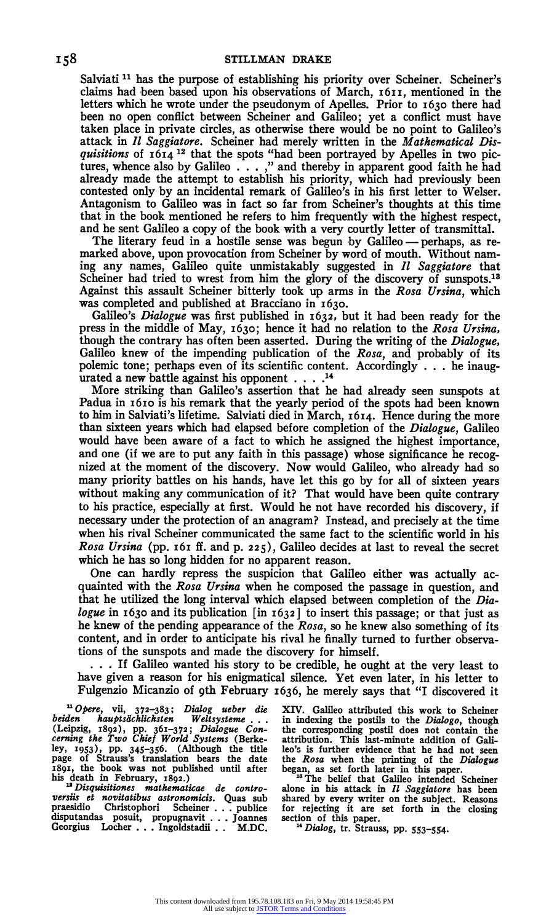Salviati<sup>11</sup> has the purpose of establishing his priority over Scheiner. Scheiner's **claims had been based upon his observations of March, I6II, mentioned in the letters which he wrote under the pseudonym of Apelles. Prior to I630 there had been no open conflict between Scheiner and Galileo; yet a conflict must have taken place in private circles, as otherwise there would be no point to Galileo's attack in II Saggiatore. Scheiner had merely written in the Mathematical Disquisitions of I6I4 12 that the spots "had been portrayed by Apelles in two pictures, whence also by Galileo . . . ," and thereby in apparent good faith he had already made the attempt to establish his priority, which had previously been contested only by an incidental remark of Galileo's in his first letter to Welser. Antagonism to Galileo was in fact so far from Scheiner's thoughts at this time that in the book mentioned he refers to him frequently with the highest respect, and he sent Galileo a copy of the book with a very courtly letter of transmittal.** 

The literary feud in a hostile sense was begun by Galileo — perhaps, as re**marked above, upon provocation from Scheiner by word of mouth. Without naming any names, Galileo quite unmistakably suggested in II Saggiatore that Scheiner had tried to wrest from him the glory of the discovery of sunspots.13 Against this assault Scheiner bitterly took up arms in the Rosa Ursina, which was completed and published at Bracciano in i630.** 

**Galileo's Dialogue was first published in I632, but it had been ready for the press in the middle of May, I630; hence it had no relation to the Rosa Ursina, though the contrary has often been asserted. During the writing of the Dialogue, Galileo knew of the impending publication of the Rosa, and probably of its polemic tone; perhaps even of its scientific content. Accordingly . . . he inaug**urated a new battle against his opponent  $\ldots$ .<sup>14</sup>

**More striking than Galileo's assertion that he had already seen sunspots at**  Padua in 1610 is his remark that the yearly period of the spots had been known **to him in Salviati's lifetime. Salviati died in March, I6I4. Hence during the more than sixteen years which had elapsed before completion of the Dialogue, Galileo would have been aware of a fact to which he assigned the highest importance, and one (if we are to put any faith in this passage) whose significance he recognized at the moment of the discovery. Now would Galileo, who already had so many priority battles on his hands, have let this go by for all of sixteen years without making any communication of it? That would have been quite contrary to his practice, especially at first. Would he not have recorded his discovery, if necessary under the protection of an anagram? Instead, and precisely at the time when his rival Scheiner communicated the same fact to the scientific world in his Rosa Ursina (pp. i6i ff. and p. 225), Galileo decides at last to reveal the secret which he has so long hidden for no apparent reason.** 

**One can hardly repress the suspicion that Galileo either was actually acquainted with the Rosa Ursina when he composed the passage in question, and that he utilized the long interval which elapsed between completion of the Dialogue in I630 and its publication [in I632] to insert this passage; or that just as he knew of the pending appearance of the Rosa, so he knew also something of its content, and in order to anticipate his rival he finally turned to further observations of the sunspots and made the discovery for himself.** 

**. . .If Galileo wanted his story to be credible, he ought at the very least to have given a reason for his enigmatical silence. Yet even later, in his letter to Fulgenzio Micanzio of gth February I636, he merely says that "I discovered it** 

**' Opere, vii, 372-383; Dialog ueber die beiden hauptsdchlichsten Weltsysteme ... (Leipzig, I892), pp. 36I-372; Dialogue Con**cerning the Two Chief World Systems (Berke-<br>ley, 1953), pp. 345-356. (Although the title page of Strauss's translation bears the date<br>1891, the book was not published until after<br>his death in February, 1892.)

<sup>12</sup> Disquisitiones mathematicae de contro-<br>versiis et novitatibus astronomicis. Quas sub **praesidio Christophori Scheiner . . . publice disputandas posuit, propugnavit .. . Joannes Georgius Locher . . . Ingoldstadii . . M.DC.** 

**XIV. Galileo attributed this work to Scheiner in indexing the postils to the Dialogo, though the corresponding postil does not contain the attribution. This last-minute addition of Galileo's is further evidence that he had not seen the Rosa when the printing of the Dialogue began, as set forth later in this paper. The belief that Galileo intended Scheiner** 

**alone in his attack in II Saggiatore has been shared by every writer on the subject. Reasons for rejecting it are set forth in the closing section of this paper.** 

**'Dialog, tr. Strauss, PP. 553-554.**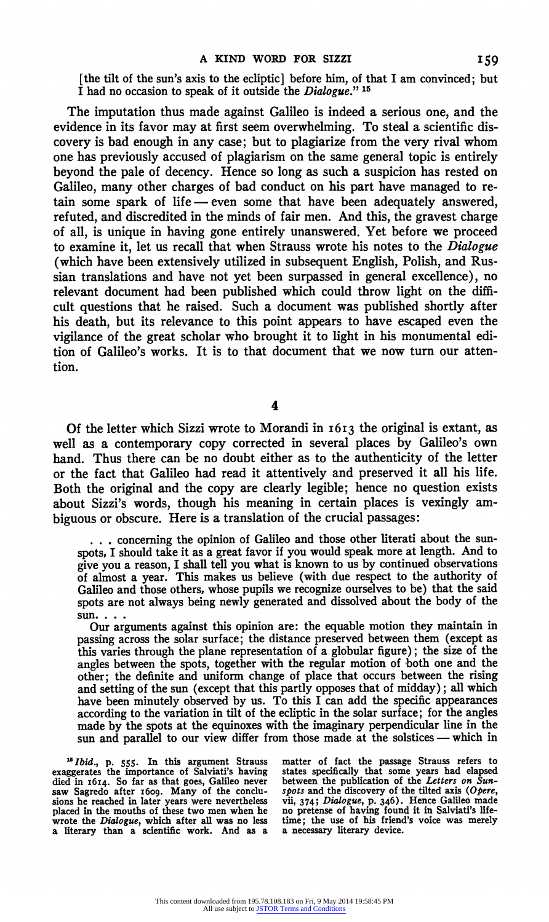**[the tilt of the sun's axis to the ecliptic] before him, of that I am convinced; but I had no occasion to speak of it outside the Dialogue." <sup>15</sup>**

**The imputation thus made against Galileo is indeed a serious one, and the evidence in its favor may at first seem overwhelming. To steal a scientific discovery is bad enough in any case; but to plagiarize from the very rival whom one has previously accused of plagiarism on the same general topic is entirely beyond the pale of decency. Hence so long as such a suspicion has rested on Galileo, many other charges of bad conduct on his part have managed to re**tain some spark of life — even some that have been adequately answered, **refuted, and discredited in the minds of fair men. And this, the gravest charge of all, is unique in having gone entirely unanswered. Yet before we proceed to examine it, let us recall that when Strauss wrote his notes to the Dialogue (which have been extensively utilized in subsequent English, Polish, and Russian translations and have not yet been surpassed in general excellence), no relevant document had been published which could throw light on the difficult questions that he raised. Such a document was published shortly after his death, but its relevance to this point appears to have escaped even the vigilance of the great scholar who brought it to light in his monumental edition of Galileo's works. It is to that document that we now turn our attention.** 

**4** 

**Of the letter which Sizzi wrote to Morandi in I6I3 the original is extant, as well as a contemporary copy corrected in several places by Galileo's own hand. Thus there can be no doubt either as to the authenticity of the letter or the fact that Galileo had read it attentively and preserved it all his life. Both the original and the copy are clearly legible; hence no question exists about Sizzi's words, though his meaning in certain places is vexingly ambiguous or obscure. Here is a translation of the crucial passages:** 

**. . .concerning the opinion of Galileo and those other literati about the sunspots, I should take it as a great favor if you would speak more at length. And to give you a reason, I shall tell you what is known to us by continued observations of almost a year. This makes us believe (with due respect to the authority of Galileo and those others, whose pupils we recognize ourselves to be) that the said spots are not always being newly generated and dissolved about the body of the sun....** 

**Our arguments against this opinion are: the equable motion they maintain in passing across the solar surface; the distance preserved between them (except as this varies through the plane representation of a globular figure); the size of the angles between the spots, together with the regular motion of both one and the other; the definite and uniform change of place that occurs between the rising and setting of the sun (except that this partly opposes that of midday); all which have been minutely observed by us. To this I can add the specific appearances according to the variation in tilt of the ecliptic in the solar surface; for the angles made by the spots at the equinoxes with the imaginary perpendicular line in the**  sun and parallel to our view differ from those made at the solstices — which in

**" Ibid., p. 555. In this argument Strauss exaggerates the importance of Salviati's having died in I614. So far as that goes, Galileo never saw Sagredo after I609. Many of the condusions he reached in later years were nevertheless placed in the mouths of these two men when he wrote the Dialogue, which after all was no less a literary than a scientific work. And as a** 

**matter of fact the passage Strauss refers to states specifically that some years had elapsed between the publication of the Letters on Sunspots and the discovery of the tilted axis (Opere, vii, 374; Dialogue, p. 346). Hence Galileo made no pretense of having found it in Salviati's lifetime; the use of his friend's voice was merely a necessary literary device.**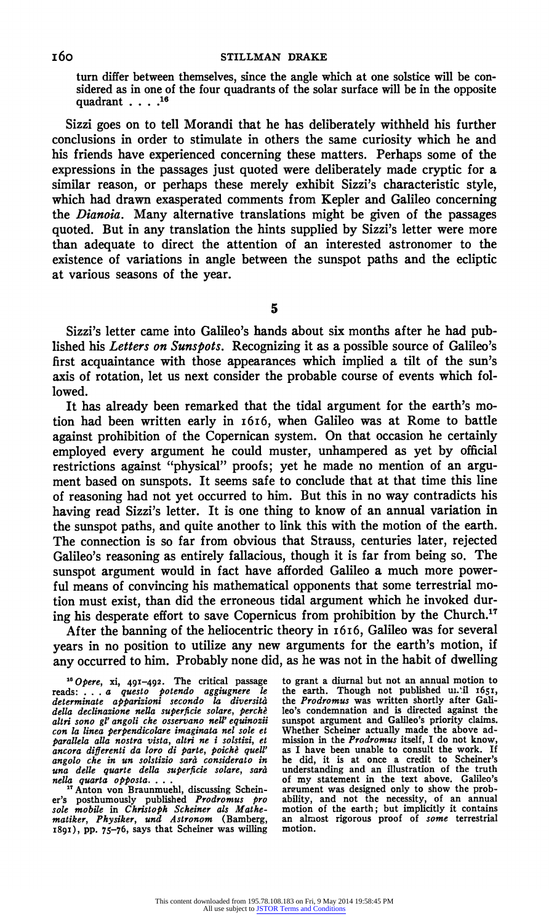**turn differ between themselves, since the angle which at one solstice will be considered as in one of the four quadrants of the solar surface will be in the opposite quadrant . . . .16** 

**Sizzi goes on to tell Morandi that he has deliberately withheld his further conclusions in order to stimulate in others the same curiosity which he and his friends have experienced concerning these matters. Perhaps some of the expressions in the passages just quoted were deliberately made cryptic for a similar reason, or perhaps these merely exhibit Sizzi's characteristic style, which had drawn exasperated comments from Kepler and Galileo concerning the Dianoia. Many alternative translations might be given of the passages quoted. But in any translation the hints supplied by Sizzi's letter were more than adequate to direct the attention of an interested astronomer to the existence of variations in angle between the sunspot paths and the ecliptic at various seasons of the year.** 

**5** 

**Sizzi's letter came into Galileo's hands about six months after he had published his Letters on Sunspots. Recognizing it as a possible source of Galileo's first acquaintance with those appearances which implied a tilt of the sun's axis of rotation, let us next consider the probable course of events which followed.** 

**It has already been remarked that the tidal argument for the earth's motion had been written early in I6I6, when Galileo was at Rome to battle against prohibition of the Copernican system. On that occasion he certainly employed every argument he could muster, unhampered as yet by official restrictions against "physical" proofs; yet he made no mention of an argument based on sunspots. It seems safe to conclude that at that time this line of reasoning had not yet occurred to him. But this in no way contradicts his having read Sizzi's letter. It is one thing to know of an annual variation in the sunspot paths, and quite another to link this with the motion of the earth. The connection is so far from obvious that Strauss, centuries later, rejected Galileo's reasoning as entirely fallacious, though it is far from being so. The sunspot argument would in fact have afforded Galileo a much more powerful means of convincing his mathematical opponents that some terrestrial motion must exist, than did the erroneous tidal argument which he invoked during his desperate effort to save Copernicus from prohibition by the Church."7** 

**After the banning of the heliocentric theory in I6I6, Galileo was for several years in no position to utilize any new arguments for the earth's motion, if any occurred to him. Probably none did, as he was not in the habit of dwelling** 

**16 Opere, xi, 491-492. The critical passage reads: . . . a questo potendo aggiugnere le determinate apparizioni secondo la diversita della declinazione neUa superficie solare, perche altri sono gP angoli che osservano nell' equinozii con la linea perpendicolare imaginata nel sole et parallela alla nostra vista, altri ne i solstizi, et**  ancora differenti da loro di parte, poichè quell' **angolo che in un solstizio sara considerato in una delle quarte della superficie solare, sara&** 

**nella quarta opposta.... 17Anton von Braunmuehl, discussing Scheiner's posthumously published Prodromnus pro sole mobile in Christoph Scheiner als Mathe-matiker, Physiker, und Astronom (Bamberg, I89I), pp. 75-76, says that Scheiner was willing** 

**to grant a diurnal but not an annual motion to**  the earth. Though not published until 1651, **the Prodromus was written shortly after Galileo's condemnation and is directed against the sunspot argument and Galileo's priority claims. Whether Scheiner actually made the above ad-mission in the Prodromus itself, I do not know, as I have been unable to consult the work. If he did, it is at once a credit to Scheiner's understanding and an illustration of the truth of my statement in the text above. Galileo's argument was designed only to show the probability, and not the necessity, of an annual motion of the earth; but implicitly it contains an almost rigorous proof of some terrestrial motion.**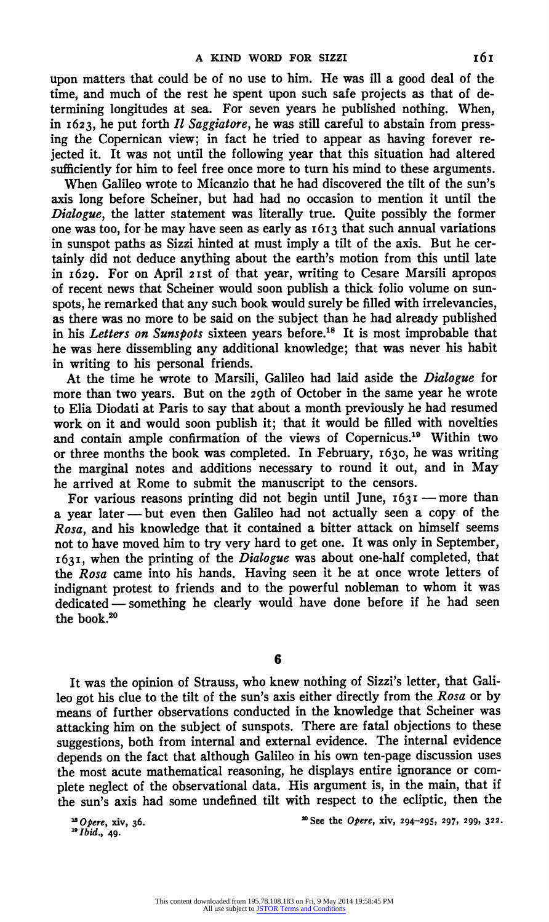**upon matters that could be of no use to him. He was ill a good deal of the time, and much of the rest he spent upon such safe projects as that of determining longitudes at sea. For seven years he published nothing. When, in I623, he put forth I1 Saggiatore, he was still careful to abstain from pressing the Copernican view; in fact he tried to appear as having forever rejected it. It was not until the following year that this situation had altered sufficiently for him to feel free once more to turn his mind to these arguments.** 

**When Galileo wrote to Micanzio that he had discovered the tilt of the sun's axis long before Scheiner, but had had no occasion to mention it until the Dialogue, the latter statement was literally true. Quite possibly the former one was too, for he may have seen as early as i6I3 that such annual variations in sunspot paths as Sizzi hinted at must imply a tilt of the axis. But he certainly did not deduce anything about the earth's motion from this until late in I629. For on April 2 ISt of that year, writing to Cesare Marsili apropos of recent news that Scheiner would soon publish a thick folio volume on sunspots, he remarked that any such book would surely be filled with irrelevancies, as there was no more to be said on the subject than he had already published in his Letters on Sunspots sixteen years before.18 It is most improbable that he was here dissembling any additional knowledge; that was never his habit in writing to his personal friends.** 

**At the time he wrote to Marsili, Galileo had laid aside the Dialogue for more than two years. But on the 29th of October in the same year he wrote to Elia Diodati at Paris to say that about a month previously he had resumed work on it and would soon publish it; that it would be filled with novelties and contain ample confirmation of the views of Copernicus."' Within two or three months the book was completed. In February, I630, he was writing the marginal notes and additions necessary to round it out, and in May he arrived at Rome to submit the manuscript to the censors.** 

**For various reasons printing did not begin until June, I63I - more than a year later-- but even then Galileo had not actually seen a copy of the Rosa, and his knowledge that it contained a bitter attack on himself seems not to have moved him to try very hard to get one. It was only in September, 163I, when the printing of the Dialogue was about one-half completed, that the Rosa came into his hands. Having seen it he at once wrote letters of indignant protest to friends and to the powerful nobleman to whom it was dedicated-something he clearly would have done before if he had seen the book.20** 

**6** 

**It was the opinion of Strauss, who knew nothing of Sizzi's letter, that Galileo got his clue to the tilt of the sun's axis either directly from the Rosa or by means of further observations conducted in the knowledge that Scheiner was attacking him on the subject of sunspots. There are fatal objections to these suggestions, both from internal and external evidence. The internal evidence depends on the fact that although Galileo in his own ten-page discussion uses the most acute mathematical reasoning, he displays entire ignorance or complete neglect of the observational data. His argument is, in the main, that if the sun's axis had some undefined tilt with respect to the ecliptic, then the** 

**'1Opere, xiv, 36. '91bid., 49.** 

**?See the Opere, XiV, 294-295, 297, 299, 322.**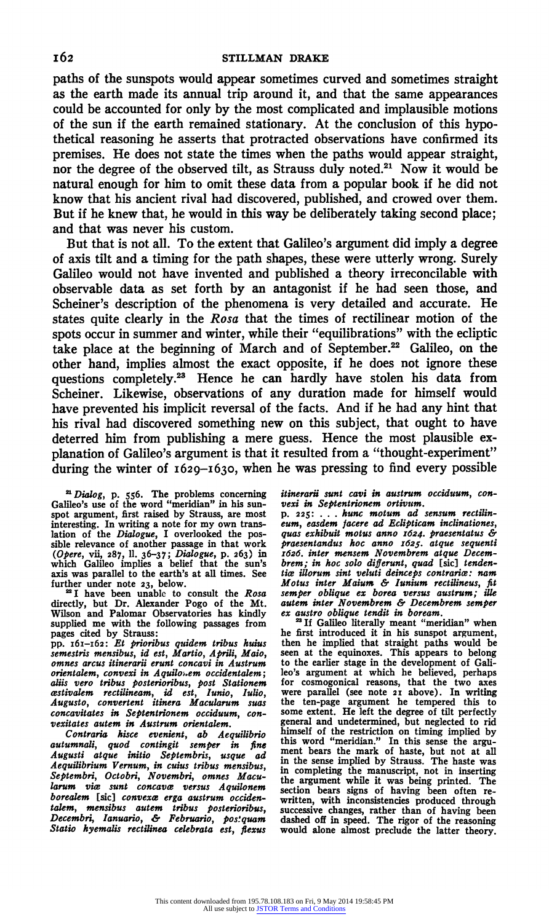**paths of the sunspots would appear sometimes curved and sometimes straight as the earth made its annual trip around it, and that the same appearances could be accounted for only by the most complicated and implausible motions of the sun if the earth remained stationary. At the conclusion of this hypothetical reasoning he asserts that protracted observations have confirmed its premises. He does not state the times when the paths would appear straight, nor the degree of the observed tilt, as Strauss duly noted.2" Now it would be natural enough for him to omit these data from a popular book if he did not know that his ancient rival had discovered, published, and crowed over them. But if he knew that, he would in this way be deliberately taking second place; and that was never his custom.** 

**But that is not all. To the extent that Galileo's argument did imply a degree of axis tilt and a timing for the path shapes, these were utterly wrong. Surely Galileo would not have invented and published a theory irreconcilable with observable data as set forth by an antagonist if he had seen those, and Scheiner's description of the phenomena is very detailed and accurate. He states quite clearly in the Rosa that the times of rectilinear motion of the spots occur in summer and winter, while their "equilibrations" with the ecliptic**  take place at the beginning of March and of September.<sup>22</sup> Galileo, on the **other hand, implies almost the exact opposite, if he does not ignore these questions completely.23 Hence he can hardly have stolen his data from Scheiner. Likewise, observations of any duration made for himself would have prevented his implicit reversal of the facts. And if he had any hint that his rival had discovered something new on this subject, that ought to have deterred him from publishing a mere guess. Hence the most plausible explanation of Galileo's argument is that it resulted from a "thought-experiment" during the winter of I629-I630, when he was pressing to find every possible** 

**' Dialog, p. 556. The problems concerning Galileo's use of the word "meridian" in his sunspot argument, first raised by Strauss, are most interesting. In writing a note for my own translation of the Dialogue, I overlooked the possible relevance of another passage in that work (Opere, vii, 287, 11. 36-37; Dialogue, p. 263) in which Galileo implies a belief that the sun's axis was parallel to the earth's at all times. See** 

**further under note 23, below.**<br><sup>22</sup> I have been unable to consult the Rosa **directly, but Dr. Alexander Pogo of the Mt. Wilson and Palomar Observatories has kindly supplied me with the following passages from** 

**pages cited by Strauss: pp. I6I-I62: Et prioribus quidem tribus huius semestris mensibus, id est, Martio, Aprili, Maio, omnes arcus itinerarii erunt concavi in Austrum orientalem, convexi in Aquilo.em occidentalem; aliis vero tribus posterioribus, post Stationem wstivalem rectilineam, id est, Iunio, Iulio, Augusto, convertent itinera Macularum suas concavitates in Septentrionem occiduum, convexitates autem in Austrum orientalem.** 

**Contraria hisce evenient, ab Aequilibrio autumnali, quod contingit semper in fine Augusti atque initio Septembris, usque ad Aequilibrium Vernum, in cuius tribus mensibus, Septembri, Octobri, Novembri, omnes Macularum vime sunt concava versus Aquilonem**  borealem [sic] convexæ erga austrum occiden**talem, mensibus autem tribus posterioribus, Decembri, Ianuario, & Februario, posquam Statio hyemalis rectilinea celebrata est, flexus** 

**itinerarii sunt cavi in austrum occiduum, convexi in Septentrionem ortivum.** 

**p. 225: . . . hunc motum ad sensum rectilineum, easdem facere ad Eclipticam inclinationes, quas exhibuit motus anno z624. praesentatus & praesentandus hoc anno z625. atque sequenti z626. inter mensem Novembrem atque Decembrem; in hoc solo differunt, quad [sic] tendentie ilorum sint veluti deinceps contrarice: nam Motus inter Maium & Iunium rectiineus, fit semper oblique ex borea versus austrum; iWe autem inter Novembrem & Decembrem semper** 

**ex austro oblique tendit in boream. 'If Galileo literally meant "meridian" when he first introduced it in his sunspot argument, then he implied that straight paths would be seen at the equinoxes. This appears to belong to the earlier stage in the development of Galileo's argument at which he believed, perhaps for cosmogonical reasons, that the two axes were parallel (see note 2I above). In writing the ten-page argument he tempered this to some extent. He left the degree of tilt perfectly general and undetermined, but neglected to rid himself of the restriction on timing implied by this word "meridian." In this sense the argument bears the mark of haste, but not at all in the sense implied by Strauss. The haste was in completing the manuscript, not in inserting the argument while it was being printed. The section bears signs of having been often rewritten, with inconsistencies produced through successive changes, rather than of having been dashed off in speed. The rigor of the reasoning would alone almost preclude the latter theory.**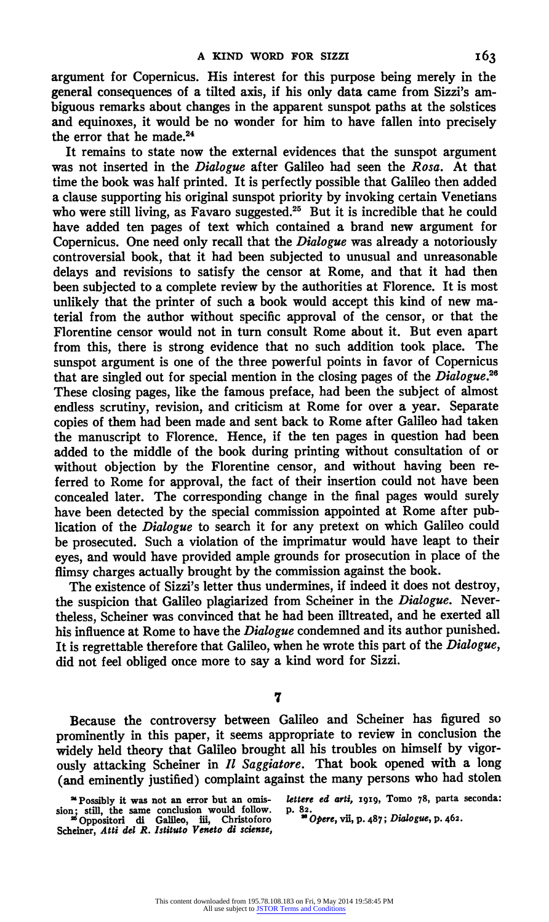**argument for Copernicus. His interest for this purpose being merely in the general consequences of a tilted axis, if his only data came from Sizzi's ambiguous remarks about changes in the apparent sunspot paths at the solstices and equinoxes, it would be no wonder for him to have fallen into precisely the error that he made.24** 

**It remains to state now the external evidences that the sunspot argument was not inserted in the Dialogue after Galileo had seen the Rosa. At that time the book was half printed. It is perfectly possible that Galileo then added a clause supporting his original sunspot priority by invoking certain Venetians**  who were still living, as Favaro suggested.<sup>25</sup> But it is incredible that he could **have added ten pages of text which contained a brand new argument for Copernicus. One need only recall that the Dialogue was already a notoriously controversial book, that it had been subjected to unusual and unreasonable delays and revisions to satisfy the censor at Rome, and that it had then been subjected to a complete review by the authorities at Florence. It is most unlikely that the printer of such a book would accept this kind of new material from the author without specific approval of the censor, or that the Florentine censor would not in turn consult Rome about it. But even apart from this, there is strong evidence that no such addition took place. The sunspot argument is one of the three powerful points in favor of Copernicus that are singled out for special mention in the closing pages of the Dialogue.28 These closing pages, like the famous preface, had been the subject of almost endless scrutiny, revision, and criticism at Rome for over a year. Separate copies of them had been made and sent back to Rome after Galileo had taken the manuscript to Florence. Hence, if the ten pages in question had been added to the middle of the book during printing without consultation of or without objection by the Florentine censor, and without having been referred to Rome for approval, the fact of their insertion could not have been concealed later. The corresponding change in the final pages would surely have been detected by the special commission appointed at Rome after publication of the Dialogue to search it for any pretext on which Galileo could be prosecuted. Such a violation of the imprimatur would have leapt to their eyes, and would have provided ample grounds for prosecution in place of the flimsy charges actually brought by the commission against the book.** 

**The existence of Sizzi's letter thus undermines, if indeed it does not destroy, the suspicion that Galileo plagiarized from Scheiner in the Dialogue. Nevertheless, Scheiner was convinced that he had been illtreated, and he exerted all his influence at Rome to have the Dialogue condemned and its author punished. It is regrettable therefore that Galileo, when he wrote this part of the Dialogue, did not feel obliged once more to say a kind word for Sizzi.** 

**7** 

**Because the controversy between Galileo and Scheiner has figured so prominently in this paper, it seems appropriate to review in conclusion the widely held theory that Galileo brought all his troubles on himself by vigorously attacking Scheiner in I1 Saggiatore. That book opened with a long (and eminently justified) complaint against the many persons who had stolen** 

**lettere ed arti, igig, Tomo 78, parta seconda: 82. ' Opere, i, p. 487; Dialogue, p. 462.** 

**I"Possibly it was not an error but an omission; still, the same conclusion would follow. "Oppositori di Galileo, iii, Christoforo Scheiner, Atti del R. Istituto Veneto di scienze,**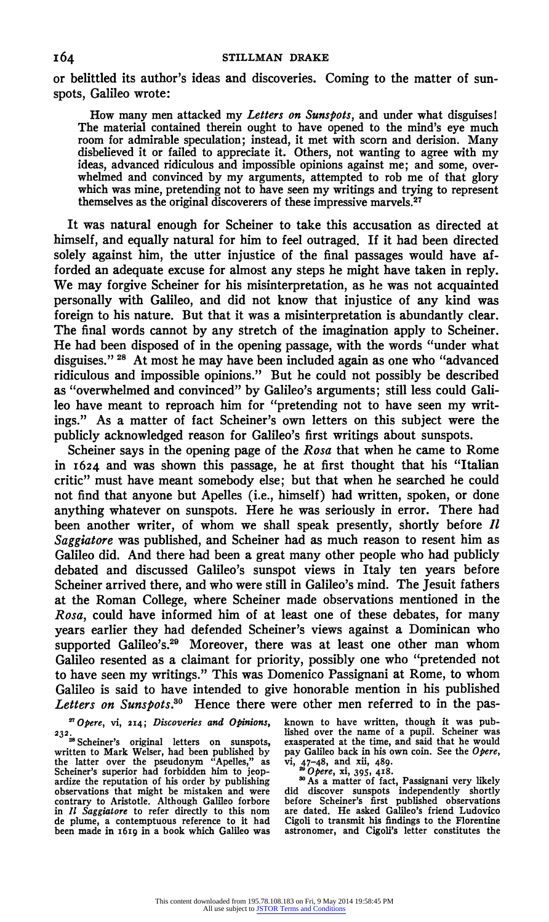**or belittled its author's ideas and discoveries. Coming to the matter of sunspots, Galileo wrote:** 

**How many men attacked my Letters on Sunspots, and under what disguisesl The material contained therein ought to have opened to the mind's eye much room for admirable speculation; instead, it met with scorn and derision. Many disbelieved it or failed to appreciate it. Others, not wanting to agree with my ideas, advanced ridiculous and impossible opinions against me; and some, overwhelmed and convinced by my arguments, attempted to rob me of that glory which was mine, pretending not to have seen my writings and trying to represent themselves as the original discoverers of these impressive marvels.27** 

**It was natural enough for Scheiner to take this accusation as directed at himself, and equally natural for him to feel outraged. If it had been directed solely against him, the utter injustice of the final passages would have afforded an adequate excuse for almost any steps he might have taken in reply. We may forgive Scheiner for his misinterpretation, as he was not acquainted personally with Galileo, and did not know that injustice of any kind was foreign to his nature. But that it was a misinterpretation is abundantly clear. The final words cannot by any stretch of the imagination apply to Scheiner. He had been disposed of in the opening passage, with the words "under what disguises." 28 At most he may have been included again as one who "advanced ridiculous and impossible opinions." But he could not possibly be described as "overwhelmed and convinced" by Galileo's arguments; still less could Galileo have meant to reproach him for "pretending not to have seen my writings." As a matter of fact Scheiner's own letters on this subject were the publicly acknowledged reason for Galileo's first writings about sunspots.** 

**Scheiner says in the opening page of the Rosa that when he came to Rome in I624 and was shown this passage, he at first thought that his "Italian critic" must have meant somebody else; but that when he searched he could not find that anyone but Apelles (i.e., himself) had written, spoken, or done anything whatever on sunspots. Here he was seriously in error. There had been another writer, of whom we shall speak presently, shortly before II Saggiatore was published, and Scheiner had as much reason to resent him as Galileo did. And there had been a great many other people who had publicly debated and discussed Galileo's sunspot views in Italy ten years before Scheiner arrived there, and who were still in Galileo's mind. The Jesuit fathers at the Roman College, where Scheiner made observations mentioned in the Rosa, could have informed him of at least one of these debates, for many years earlier they had defended Scheiner's views against a Dominican who**  supported Galileo's.<sup>29</sup> Moreover, there was at least one other man whom **Galileo resented as a claimant for priority, possibly one who "pretended not to have seen my writings." This was Domenico Passignani at Rome, to whom Galileo is said to have intended to give honorable mention in his published**  Letters on Sunspots.<sup>30</sup> Hence there were other men referred to in the pas-

**' Opere, Vi, 214; Discoveries and Opinions,** 

**232. ' Scheiner's original letters on sunspots, written to Mark Welser, had been published by the latter over the pseudonym "Apelles," as Scheiner's superior had forbidden him to jeopardize the reputation of his order by publishing observations that might be mistaken and were contrary to Aristotle. Although Galileo forbore in II Saggiatore to refer directly to this nom de plume, a contemptuous reference to it had been made in I6I9 in a book which Galileo was** 

**known to have written, though it was pub-lished over the name of a pupil. Scheiner was exasperated at the time, and said that he would pay Galileo back in his own coin. See the Opere, vi, 47-48, and xii, 489.**<br><sup>20</sup> Opere, xi, 395, 418.<br><sup>30</sup> As a matter of fact, Passignani very likely

**did discover sunspots independently shortly before Scheiner's first published observations are dated. He asked Galileo's friend Ludovico Cigoli to transmit his findings to the Florentine astronomer, and Cigoli's letter constitutes the**